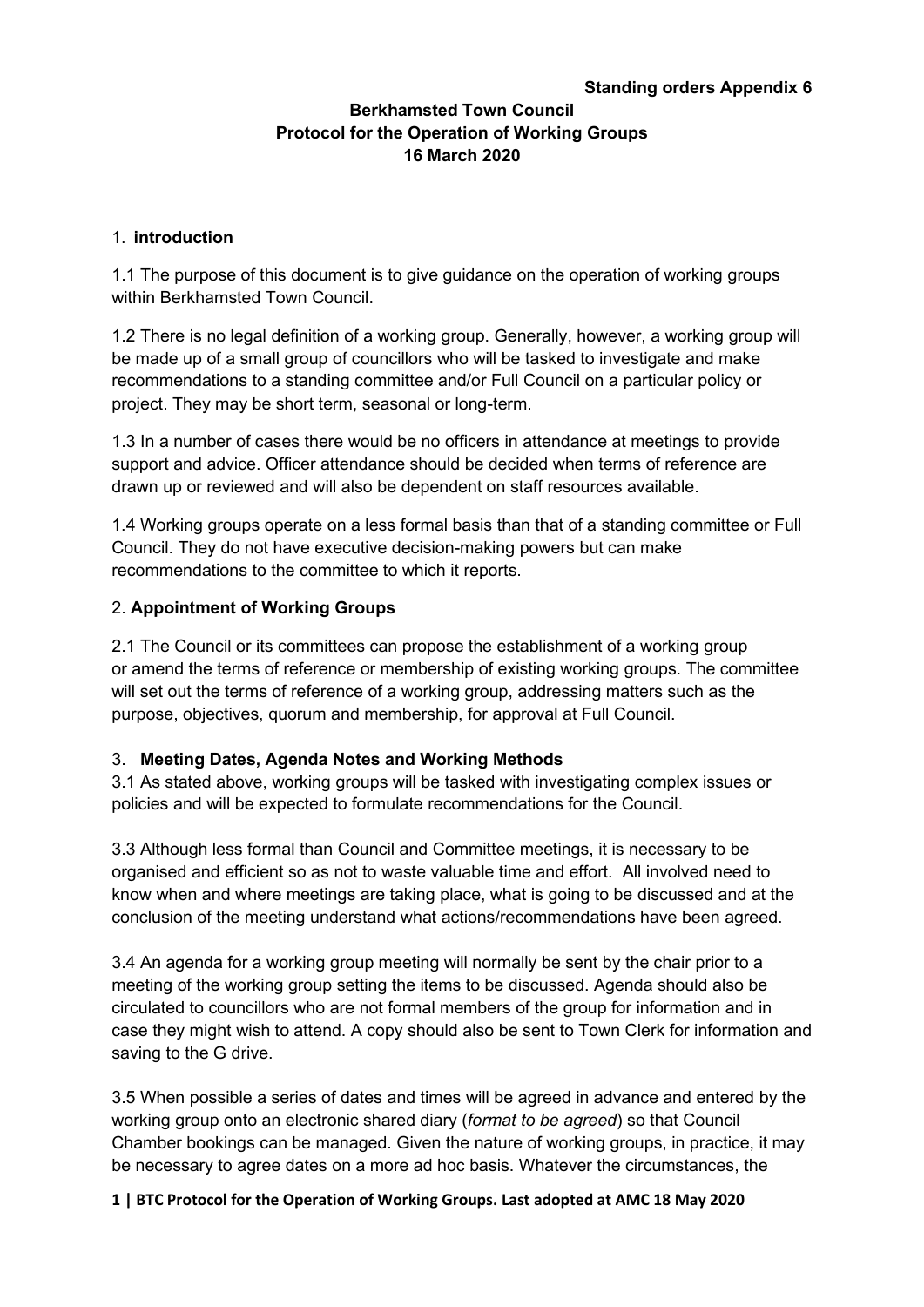# **Berkhamsted Town Council Protocol for the Operation of Working Groups 16 March 2020**

### 1. **introduction**

1.1 The purpose of this document is to give guidance on the operation of working groups within Berkhamsted Town Council.

1.2 There is no legal definition of a working group. Generally, however, a working group will be made up of a small group of councillors who will be tasked to investigate and make recommendations to a standing committee and/or Full Council on a particular policy or project. They may be short term, seasonal or long-term.

1.3 In a number of cases there would be no officers in attendance at meetings to provide support and advice. Officer attendance should be decided when terms of reference are drawn up or reviewed and will also be dependent on staff resources available.

1.4 Working groups operate on a less formal basis than that of a standing committee or Full Council. They do not have executive decision-making powers but can make recommendations to the committee to which it reports.

#### 2. **Appointment of Working Groups**

2.1 The Council or its committees can propose the establishment of a working group or amend the terms of reference or membership of existing working groups. The committee will set out the terms of reference of a working group, addressing matters such as the purpose, objectives, quorum and membership, for approval at Full Council.

#### 3. **Meeting Dates, Agenda Notes and Working Methods**

3.1 As stated above, working groups will be tasked with investigating complex issues or policies and will be expected to formulate recommendations for the Council.

3.3 Although less formal than Council and Committee meetings, it is necessary to be organised and efficient so as not to waste valuable time and effort. All involved need to know when and where meetings are taking place, what is going to be discussed and at the conclusion of the meeting understand what actions/recommendations have been agreed.

3.4 An agenda for a working group meeting will normally be sent by the chair prior to a meeting of the working group setting the items to be discussed. Agenda should also be circulated to councillors who are not formal members of the group for information and in case they might wish to attend. A copy should also be sent to Town Clerk for information and saving to the G drive.

3.5 When possible a series of dates and times will be agreed in advance and entered by the working group onto an electronic shared diary (*format to be agreed*) so that Council Chamber bookings can be managed. Given the nature of working groups, in practice, it may be necessary to agree dates on a more ad hoc basis. Whatever the circumstances, the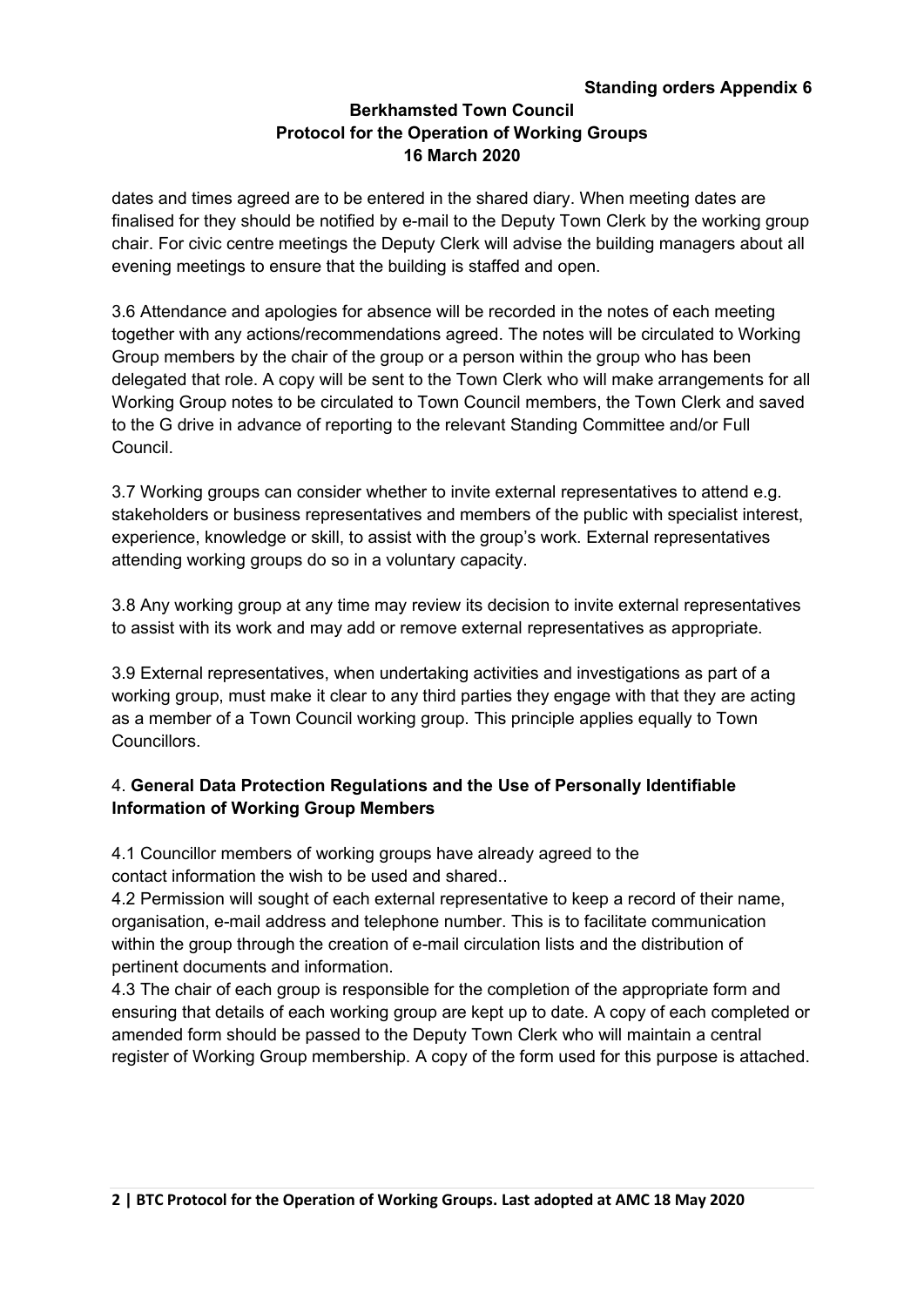# **Berkhamsted Town Council Protocol for the Operation of Working Groups 16 March 2020**

dates and times agreed are to be entered in the shared diary. When meeting dates are finalised for they should be notified by e-mail to the Deputy Town Clerk by the working group chair. For civic centre meetings the Deputy Clerk will advise the building managers about all evening meetings to ensure that the building is staffed and open.

3.6 Attendance and apologies for absence will be recorded in the notes of each meeting together with any actions/recommendations agreed. The notes will be circulated to Working Group members by the chair of the group or a person within the group who has been delegated that role. A copy will be sent to the Town Clerk who will make arrangements for all Working Group notes to be circulated to Town Council members, the Town Clerk and saved to the G drive in advance of reporting to the relevant Standing Committee and/or Full Council.

3.7 Working groups can consider whether to invite external representatives to attend e.g. stakeholders or business representatives and members of the public with specialist interest, experience, knowledge or skill, to assist with the group's work. External representatives attending working groups do so in a voluntary capacity.

3.8 Any working group at any time may review its decision to invite external representatives to assist with its work and may add or remove external representatives as appropriate.

3.9 External representatives, when undertaking activities and investigations as part of a working group, must make it clear to any third parties they engage with that they are acting as a member of a Town Council working group. This principle applies equally to Town Councillors.

## 4. **General Data Protection Regulations and the Use of Personally Identifiable Information of Working Group Members**

4.1 Councillor members of working groups have already agreed to the contact information the wish to be used and shared..

4.2 Permission will sought of each external representative to keep a record of their name, organisation, e-mail address and telephone number. This is to facilitate communication within the group through the creation of e-mail circulation lists and the distribution of pertinent documents and information.

4.3 The chair of each group is responsible for the completion of the appropriate form and ensuring that details of each working group are kept up to date. A copy of each completed or amended form should be passed to the Deputy Town Clerk who will maintain a central register of Working Group membership. A copy of the form used for this purpose is attached.